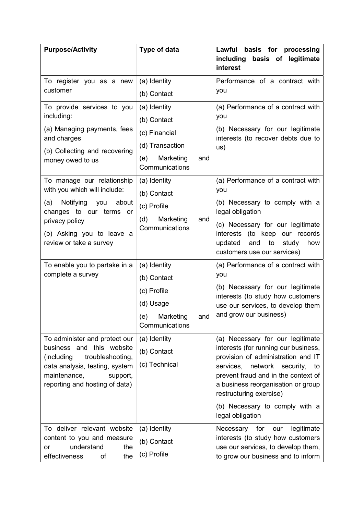| <b>Purpose/Activity</b>                                                                                                                                                                                | Type of data                                                                                                 | basis for processing<br>Lawful<br>including<br>basis of legitimate<br>interest                                                                                                                                                                                                                                    |
|--------------------------------------------------------------------------------------------------------------------------------------------------------------------------------------------------------|--------------------------------------------------------------------------------------------------------------|-------------------------------------------------------------------------------------------------------------------------------------------------------------------------------------------------------------------------------------------------------------------------------------------------------------------|
| To register you as a new<br>customer                                                                                                                                                                   | (a) Identity<br>(b) Contact                                                                                  | Performance of a contract with<br>you                                                                                                                                                                                                                                                                             |
| To provide services to you<br>including:<br>(a) Managing payments, fees<br>and charges<br>(b) Collecting and recovering<br>money owed to us                                                            | (a) Identity<br>(b) Contact<br>(c) Financial<br>(d) Transaction<br>Marketing<br>(e)<br>and<br>Communications | (a) Performance of a contract with<br>you<br>(b) Necessary for our legitimate<br>interests (to recover debts due to<br>US)                                                                                                                                                                                        |
| To manage our relationship<br>with you which will include:<br>Notifying<br>about<br>(a)<br>you<br>changes to our terms<br>or<br>privacy policy<br>(b) Asking you to leave a<br>review or take a survey | (a) Identity<br>(b) Contact<br>(c) Profile<br>(d)<br>Marketing<br>and<br>Communications                      | (a) Performance of a contract with<br>you<br>(b) Necessary to comply with a<br>legal obligation<br>(c) Necessary for our legitimate<br>interests (to keep our records<br>updated<br>and<br>to<br>study<br>how<br>customers use our services)                                                                      |
| To enable you to partake in a<br>complete a survey                                                                                                                                                     | (a) Identity<br>(b) Contact<br>(c) Profile<br>(d) Usage<br>(e) Marketing<br>and<br>Communications            | (a) Performance of a contract with<br>you<br>(b) Necessary for our legitimate<br>interests (to study how customers<br>use our services, to develop them<br>and grow our business)                                                                                                                                 |
| To administer and protect our<br>business and this website<br>troubleshooting,<br>(including<br>data analysis, testing, system<br>maintenance,<br>support,<br>reporting and hosting of data)           | (a) Identity<br>(b) Contact<br>(c) Technical                                                                 | (a) Necessary for our legitimate<br>interests (for running our business,<br>provision of administration and IT<br>services, network security,<br>to<br>prevent fraud and in the context of<br>a business reorganisation or group<br>restructuring exercise)<br>(b) Necessary to comply with a<br>legal obligation |
| To deliver relevant website<br>content to you and measure<br>understand<br>the<br>or<br>the<br>effectiveness<br>of                                                                                     | (a) Identity<br>(b) Contact<br>(c) Profile                                                                   | legitimate<br>Necessary<br>for<br>our<br>interests (to study how customers<br>use our services, to develop them,<br>to grow our business and to inform                                                                                                                                                            |